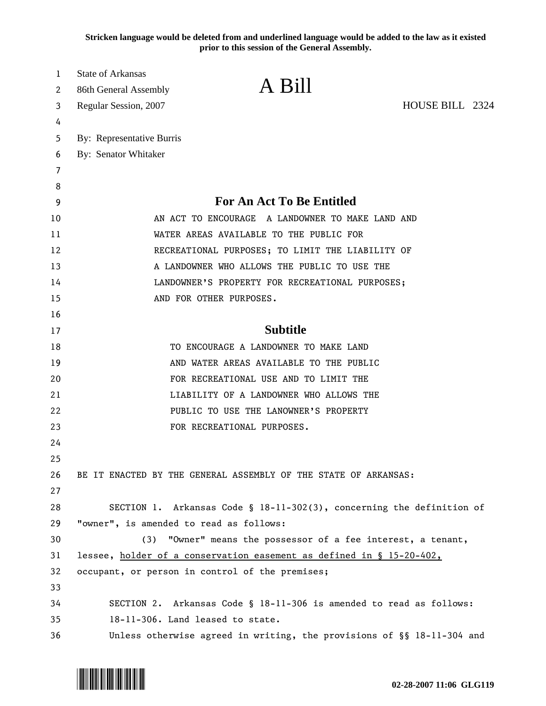**Stricken language would be deleted from and underlined language would be added to the law as it existed prior to this session of the General Assembly.**

| 1  | <b>State of Arkansas</b>                                               |                                              |  |
|----|------------------------------------------------------------------------|----------------------------------------------|--|
| 2  | A Bill<br>86th General Assembly                                        |                                              |  |
| 3  | Regular Session, 2007                                                  | HOUSE BILL 2324                              |  |
| 4  |                                                                        |                                              |  |
| 5  | By: Representative Burris                                              |                                              |  |
| 6  | By: Senator Whitaker                                                   |                                              |  |
| 7  |                                                                        |                                              |  |
| 8  |                                                                        |                                              |  |
| 9  | For An Act To Be Entitled                                              |                                              |  |
| 10 | AN ACT TO ENCOURAGE A LANDOWNER TO MAKE LAND AND                       |                                              |  |
| 11 | WATER AREAS AVAILABLE TO THE PUBLIC FOR                                |                                              |  |
| 12 | RECREATIONAL PURPOSES; TO LIMIT THE LIABILITY OF                       |                                              |  |
| 13 |                                                                        | A LANDOWNER WHO ALLOWS THE PUBLIC TO USE THE |  |
| 14 | LANDOWNER'S PROPERTY FOR RECREATIONAL PURPOSES;                        |                                              |  |
| 15 | AND FOR OTHER PURPOSES.                                                |                                              |  |
| 16 |                                                                        |                                              |  |
| 17 | <b>Subtitle</b>                                                        |                                              |  |
| 18 | TO ENCOURAGE A LANDOWNER TO MAKE LAND                                  |                                              |  |
| 19 | AND WATER AREAS AVAILABLE TO THE PUBLIC                                |                                              |  |
| 20 | FOR RECREATIONAL USE AND TO LIMIT THE                                  |                                              |  |
| 21 | LIABILITY OF A LANDOWNER WHO ALLOWS THE                                |                                              |  |
| 22 | PUBLIC TO USE THE LANOWNER'S PROPERTY                                  |                                              |  |
| 23 | FOR RECREATIONAL PURPOSES.                                             |                                              |  |
| 24 |                                                                        |                                              |  |
| 25 |                                                                        |                                              |  |
| 26 | BE IT ENACTED BY THE GENERAL ASSEMBLY OF THE STATE OF ARKANSAS:        |                                              |  |
| 27 |                                                                        |                                              |  |
| 28 | SECTION 1. Arkansas Code § 18-11-302(3), concerning the definition of  |                                              |  |
| 29 | "owner", is amended to read as follows:                                |                                              |  |
| 30 | (3) "Owner" means the possessor of a fee interest, a tenant,           |                                              |  |
| 31 | lessee, holder of a conservation easement as defined in § 15-20-402,   |                                              |  |
| 32 | occupant, or person in control of the premises;                        |                                              |  |
| 33 |                                                                        |                                              |  |
| 34 | SECTION 2. Arkansas Code § 18-11-306 is amended to read as follows:    |                                              |  |
| 35 | 18-11-306. Land leased to state.                                       |                                              |  |
| 36 | Unless otherwise agreed in writing, the provisions of §§ 18-11-304 and |                                              |  |